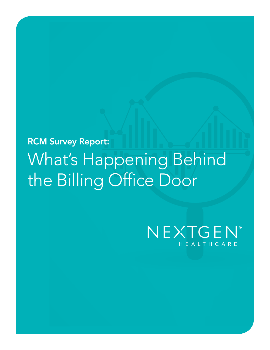# RCM Survey Report: What's Happening Behind the Billing Office Door

## NEXTGEN® HEALTHCARE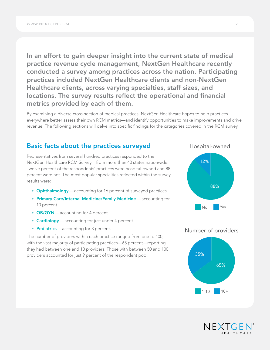In an effort to gain deeper insight into the current state of medical practice revenue cycle management, NextGen Healthcare recently conducted a survey among practices across the nation. Participating practices included NextGen Healthcare clients and non-NextGen Healthcare clients, across varying specialties, staff sizes, and locations. The survey results reflect the operational and financial metrics provided by each of them.

By examining a diverse cross-section of medical practices, NextGen Healthcare hopes to help practices everywhere better assess their own RCM metrics—and identify opportunities to make improvements and drive revenue. The following sections will delve into specific findings for the categories covered in the RCM survey.

### Basic facts about the practices surveyed

Representatives from several hundred practices responded to the NextGen Healthcare RCM Survey—from more than 40 states nationwide. Twelve percent of the respondents' practices were hospital-owned and 88 percent were not. The most popular specialties reflected within the survey results were:

- Ophthalmology—accounting for 16 percent of surveyed practices
- Primary Care/Internal Medicine/Family Medicine—accounting for 10 percent
- OB/GYN-accounting for 4 percent
- Cardiology-accounting for just under 4 percent
- Pediatrics accounting for 3 percent.

The number of providers within each practice ranged from one to 100, with the vast majority of participating practices—65 percent—reporting which the vast majority or participating praetices Test percent Treporting<br>they had between one and 10 providers. Those with between 50 and 100 providers accounted for just 9 percent of the respondent pool.









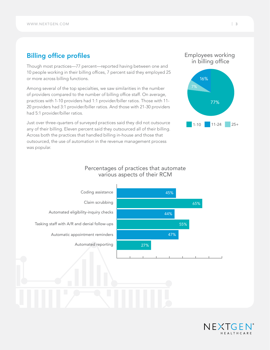## Billing office profiles

Though most practices—77 percent—reported having between one and 10 people working in their billing offices, 7 percent said they employed 25 or more across billing functions.

Among several of the top specialties, we saw similarities in the number of providers compared to the number of billing office staff. On average, practices with 1-10 providers had 1:1 provider/biller ratios. Those with 11- 20 providers had 3:1 provider/biller ratios. And those with 21-30 providers had 5:1 provider/biller ratios.

Just over three-quarters of surveyed practices said they did not outsource any of their billing. Eleven percent said they outsourced all of their billing. Across both the practices that handled billing in-house and those that outsourced, the use of automation in the revenue management process was popular.

## Percentages of practices that automate various aspects of their RCM





Employees working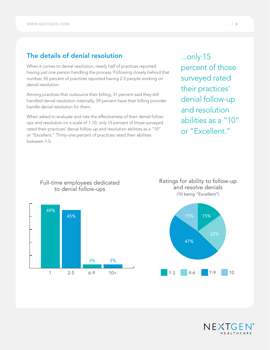## The details of denial resolution

When it comes to denial resolution, nearly half of practices reported having just one person handling the process. Following closely behind that number, 45 percent of practices reported having 2-5 people working on denial resolution.

Among practices that outsource their billing, 31 percent said they still handled denial resolution internally; 59 percent have their billing provider handle denial resolution for them.

When asked to evaluate and rate the effectiveness of their denial followups and resolution on a scale of 1-10, only 15 percent of those surveyed rated their practices' denial follow-up and resolution abilities as a "10" or "Excellent." Thirty-one percent of practices rated their abilities between 1-5.

...only 15 percent of those surveyed rated their practices' denial follow-up and resolution abilities as a "10" or "Excellent."

Ratings for ability to follow-up and resolve denials (10 being "Excellent")





## Full-time employees dedicated to denial follow-ups

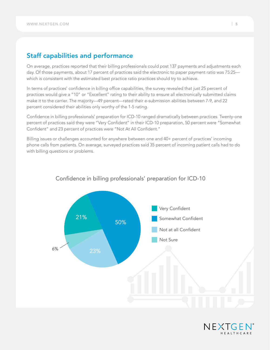## Staff capabilities and performance

On average, practices reported that their billing professionals could post 137 payments and adjustments each day. Of those payments, about 17 percent of practices said the electronic to paper payment ratio was 75:25 which is consistent with the estimated best practice ratio practices should try to achieve.

In terms of practices' confidence in billing office capabilities, the survey revealed that just 25 percent of practices would give a "10" or "Excellent" rating to their ability to ensure all electronically submitted claims make it to the carrier. The majority—49 percent—rated their e-submission abilities between 7-9, and 22 percent considered their abilities only worthy of the 1-5 rating.

Confidence in billing professionals' preparation for ICD-10 ranged dramatically between practices. Twenty-one percent of practices said they were "Very Confident" in their ICD-10 preparation, 50 percent were "Somewhat Confident" and 23 percent of practices were "Not At All Confident."

Billing issues or challenges accounted for anywhere between one and 40+ percent of practices' incoming phone calls from patients. On average, surveyed practices said 35 percent of incoming patient calls had to do with billing questions or problems.



#### Confidence in billing professionals' preparation for ICD-10

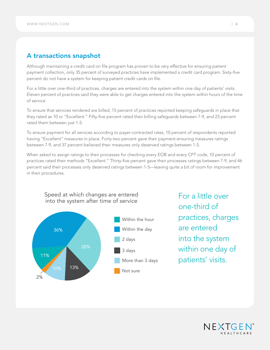## A transactions snapshot

Although maintaining a credit card on file program has proven to be very effective for ensuring patient payment collection, only 35 percent of surveyed practices have implemented a credit card program. Sixty-five percent do not have a system for keeping patient credit cards on file.

For a little over one-third of practices, charges are entered into the system within one day of patients' visits. Eleven percent of practices said they were able to get charges entered into the system within hours of the time of service.

To ensure that services rendered are billed, 15 percent of practices reported keeping safeguards in place that they rated as 10 or "Excellent." Fifty-five percent rated their billing safeguards between 7-9, and 23 percent rated them between just 1-5.

To ensure payment for all services according to payer-contracted rates, 10 percent of respondents reported having "Excellent" measures in place. Forty-two percent gave their payment-ensuring measures ratings between 7-9, and 37 percent believed their measures only deserved ratings between 1-5.

When asked to assign ratings to their processes for checking every EOB and every CPT code, 10 percent of practices rated their methods "Excellent." Thirty-five percent gave their processes ratings between 7-9, and 46 percent said their processes only deserved ratings between 1-5—leaving quite a bit of room for improvement in their procedures.



For a little over one-third of practices, charges are entered into the system within one day of patients' visits.

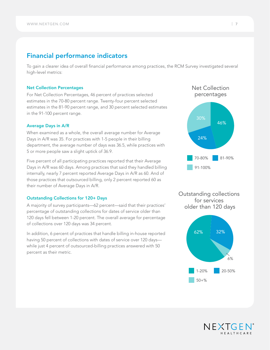## Financial performance indicators

To gain a clearer idea of overall financial performance among practices, the RCM Survey investigated several high-level metrics:

#### Net Collection Percentages  $\mathsf S$  is a set of  $\mathsf S$

For Net Collection Percentages, 46 percent of practices selected estimates in the 70-80 percent range. Twenty-four percent selected estimates in the 81-90 percent range, and 30 percent selected estimates in the 91-100 percent range.

#### Average Days in A/R

When examined as a whole, the overall average number for Average Days in A/R was 35. For practices with 1-5 people in their billing department, the average number of days was 36.5, while practices with 5 or more people saw a slight uptick of 36.9.

Five percent of all participating practices reported that their Average Days in A/R was 60 days. Among practices that said they handled billing internally, nearly 7 percent reported Average Days in A/R as 60. And of those practices that outsourced billing, only 2 percent reported 60 as their number of Average Days in A/R.

#### Outstanding Collections for 120+ Days

A majority of survey participants—62 percent—said that their practices' percentage of outstanding collections for dates of service older than 120 days fell between 1-20 percent. The overall average for percentage of collections over 120 days was 34 percent.

In addition, 6 percent of practices that handle billing in-house reported having 50 percent of collections with dates of service over 120 days while just 4 percent of outsourced-billing practices answered with 50 percent as their metric.



Outstanding collections for services older than 120 days



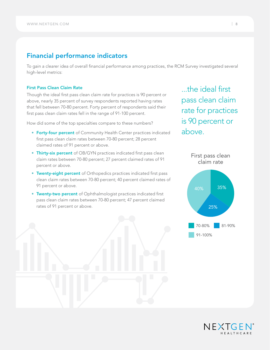## Financial performance indicators

To gain a clearer idea of overall financial performance among practices, the RCM Survey investigated several high-level metrics:

#### First Pass Clean Claim Rate

Though the ideal first pass clean claim rate for practices is 90 percent or above, nearly 35 percent of survey respondents reported having rates that fell between 70-80 percent. Forty percent of respondents said their first pass clean claim rates fell in the range of 91-100 percent.

How did some of the top specialties compare to these numbers?

- Forty-four percent of Community Health Center practices indicated first pass clean claim rates between 70-80 percent; 28 percent claimed rates of 91 percent or above.
- Thirty-six percent of OB/GYN practices indicated first pass clean claim rates between 70-80 percent; 27 percent claimed rates of 91 percent or above.
- Twenty-eight percent of Orthopedics practices indicated first pass clean claim rates between 70-80 percent; 40 percent claimed rates of 91 percent or above.
- Twenty-two percent of Ophthalmologist practices indicated first pass clean claim rates between 70-80 percent; 47 percent claimed rates of 91 percent or above.

the ideal first pass clean claim rate for practices is 90 percent or above.



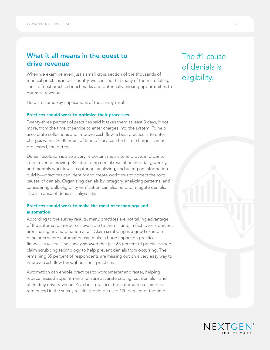## What it all means in the quest to drive revenue

When we examine even just a small cross section of the thousands of medical practices in our country, we can see that many of them are falling short of best practice benchmarks and potentially missing opportunities to optimize revenue.

Here are some key implications of the survey results:

#### Practices should work to optimize their processes.

Twenty-three percent of practices said it takes them at least 3 days, if not more, from the time of service to enter charges into the system. To help accelerate collections and improve cash flow, a best practice is to enter charges within 24-48 hours of time of service. The faster charges can be processed, the better.

Denial resolution is also a very important metric to improve, in order to keep revenue moving. By integrating denial resolution into daily, weekly, and monthly workflows—capturing, analyzing, and acting on information quickly—practices can identify and create workflows to correct the root causes of denials. Organizing denials by category, analyzing patterns, and considering bulk eligibility verification can also help to mitigate denials. The #1 cause of denials is eligibility.

#### Practices should work to make the most of technology and automation.

According to the survey results, many practices are not taking advantage of the automation resources available to them—and, in fact, over 7 percent aren't using any automation at all. Claim scrubbing is a good example of an area where automation can make a huge impact on practices' financial success. The survey showed that just 65 percent of practices used claim scrubbing technology to help prevent denials from occurring. The remaining 35 percent of respondents are missing out on a very easy way to improve cash flow throughout their practices.

Automation can enable practices to work smarter and faster, helping reduce missed appointments, ensure accurate coding, cut denials—and ultimately drive revenue. As a best practice, the automation examples referenced in the survey results should be used 100 percent of the time.

The #1 cause of denials is eligibility.

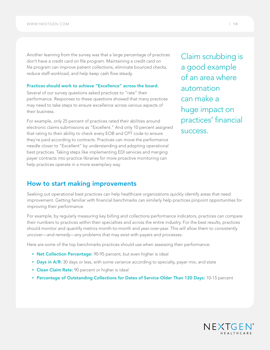Another learning from the survey was that a large percentage of practices don't have a credit card on file program. Maintaining a credit card on file program can improve patient collections, eliminate bounced checks, reduce staff workload, and help keep cash flow steady.

#### Practices should work to achieve "Excellence" across the board.

Several of our survey questions asked practices to "rate" their performance. Responses to these questions showed that many practices may need to take steps to ensure excellence across various aspects of their business.

For example, only 25 percent of practices rated their abilities around electronic claims submissions as "Excellent." And only 10 percent assigned that rating to their ability to check every EOB and CPT code to ensure they're paid according to contracts. Practices can move the performance needle closer to "Excellent" by understanding and adopting operational best practices. Taking steps like implementing EDI services and merging payer contracts into practice libraries for more proactive monitoring can help practices operate in a more exemplary way.

Claim scrubbing is a good example of an area where automation can make a huge impact on practices' financial success.

## How to start making improvements

Seeking out operational best practices can help healthcare organizations quickly identify areas that need improvement. Getting familiar with financial benchmarks can similarly help practices pinpoint opportunities for improving their performance.

For example, by regularly measuring key billing and collections performance indicators, practices can compare their numbers to practices within their specialties and across the entire industry. For the best results, practices should monitor and quantify metrics month-to-month and year-over-year. This will allow them to consistently uncover—and remedy—any problems that may exist with payers and processes.

Here are some of the top benchmarks practices should use when assessing their performance:

- Net Collection Percentage: 90-95 percent, but even higher is ideal
- Days in A/R: 30 days or less, with some variance according to specialty, payer mix, and state
- Clean Claim Rate: 90 percent or higher is ideal
- Percentage of Outstanding Collections for Dates of Service Older Than 120 Days: 10-15 percent